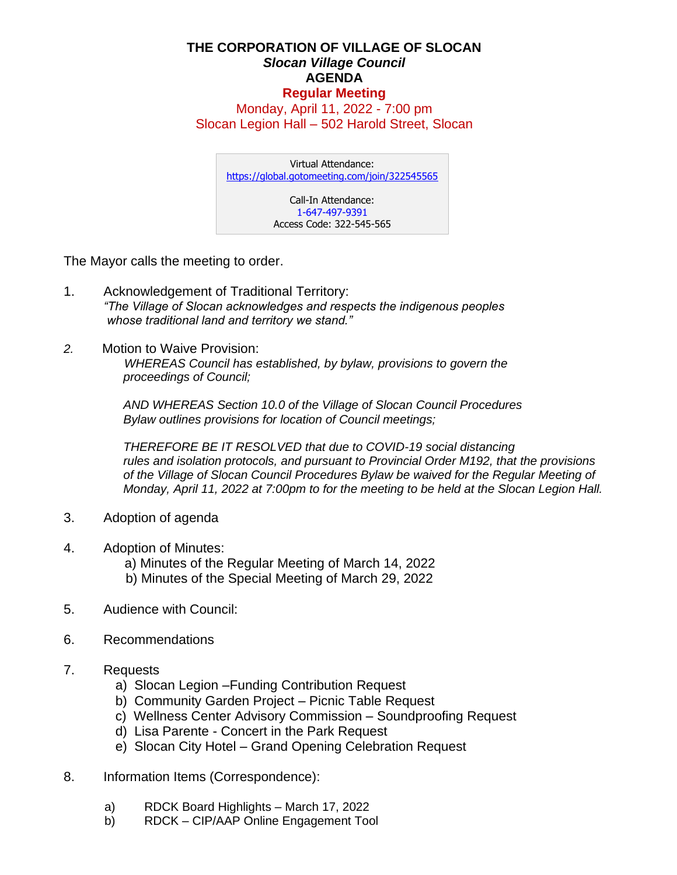## **THE CORPORATION OF VILLAGE OF SLOCAN** *Slocan Village Council*  **AGENDA Regular Meeting**

Monday, April 11, 2022 - 7:00 pm Slocan Legion Hall – 502 Harold Street, Slocan

Virtual Attendance: <https://global.gotomeeting.com/join/322545565> Call-In Attendance: 1-647-497-9391 Access Code: 322-545-565

The Mayor calls the meeting to order.

- 1. Acknowledgement of Traditional Territory: *"The Village of Slocan acknowledges and respects the indigenous peoples whose traditional land and territory we stand."*
- *2.* Motion to Waive Provision:

 *WHEREAS Council has established, by bylaw, provisions to govern the proceedings of Council;*

*AND WHEREAS Section 10.0 of the Village of Slocan Council Procedures Bylaw outlines provisions for location of Council meetings;*

*THEREFORE BE IT RESOLVED that due to COVID-19 social distancing rules and isolation protocols, and pursuant to Provincial Order M192, that the provisions of the Village of Slocan Council Procedures Bylaw be waived for the Regular Meeting of Monday, April 11, 2022 at 7:00pm to for the meeting to be held at the Slocan Legion Hall.*

- 3. Adoption of agenda
- 4. Adoption of Minutes:

a) Minutes of the Regular Meeting of March 14, 2022

- b) Minutes of the Special Meeting of March 29, 2022
- 5. Audience with Council:
- 6. Recommendations
- 7. Requests
	- a) Slocan Legion –Funding Contribution Request
	- b) Community Garden Project Picnic Table Request
	- c) Wellness Center Advisory Commission Soundproofing Request
	- d) Lisa Parente Concert in the Park Request
	- e) Slocan City Hotel Grand Opening Celebration Request
- 8. Information Items (Correspondence):
	- a) RDCK Board Highlights March 17, 2022
	- b) RDCK CIP/AAP Online Engagement Tool